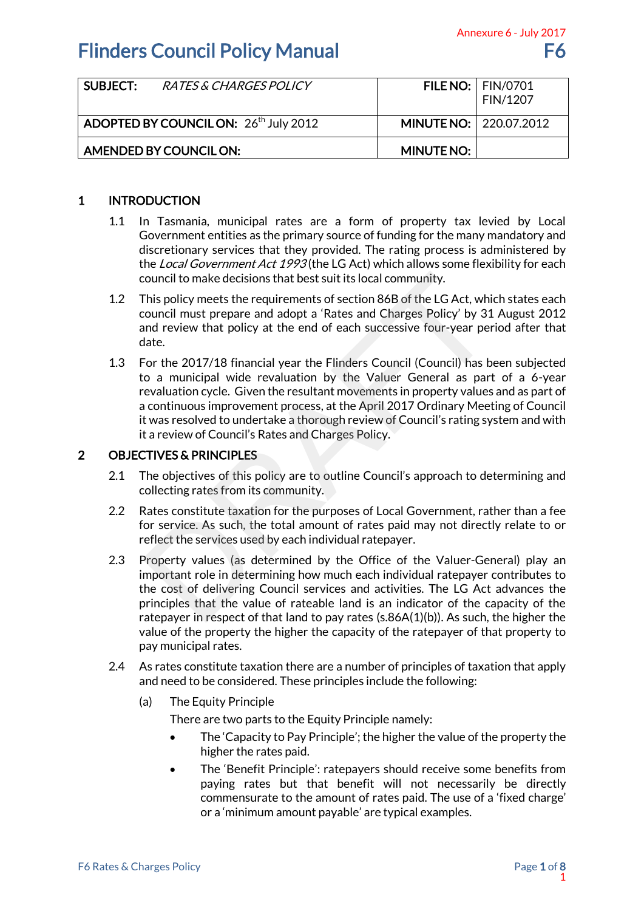| SUBJECT:                                          | <i>RATES &amp; CHARGES POLICY</i> |                          | <b>FILE NO:   FIN/0701</b><br>FIN/1207 |
|---------------------------------------------------|-----------------------------------|--------------------------|----------------------------------------|
| ADOPTED BY COUNCIL ON: 26 <sup>th</sup> July 2012 |                                   | MINUTE NO:   220.07.2012 |                                        |
| AMENDED BY COUNCIL ON:                            |                                   | <b>MINUTE NO:</b>        |                                        |

## 1 INTRODUCTION

- 1.1 In Tasmania, municipal rates are a form of property tax levied by Local Government entities as the primary source of funding for the many mandatory and discretionary services that they provided. The rating process is administered by the Local Government Act 1993 (the LG Act) which allows some flexibility for each council to make decisions that best suit its local community.
- 1.2 This policy meets the requirements of section 86B of the LG Act, which states each council must prepare and adopt a 'Rates and Charges Policy' by 31 August 2012 and review that policy at the end of each successive four-year period after that date.
- 1.3 For the 2017/18 financial year the Flinders Council (Council) has been subjected to a municipal wide revaluation by the Valuer General as part of a 6-year revaluation cycle. Given the resultant movements in property values and as part of a continuous improvement process, at the April 2017 Ordinary Meeting of Council it was resolved to undertake a thorough review of Council's rating system and with it a review of Council's Rates and Charges Policy. council to make decisions that best suit its local community.<br>This policy meets the requirements of section 86B of the LG Act, whicouncil must prepare and adopt a 'Rates and Charges Policy' by 31<br>and review that policy at

## 2 OBJECTIVES & PRINCIPLES

- 2.1 The objectives of this policy are to outline Council's approach to determining and collecting rates from its community.
- 2.2 Rates constitute taxation for the purposes of Local Government, rather than a fee for service. As such, the total amount of rates paid may not directly relate to or reflect the services used by each individual ratepayer.
- 2.3 Property values (as determined by the Office of the Valuer-General) play an important role in determining how much each individual ratepayer contributes to the cost of delivering Council services and activities. The LG Act advances the principles that the value of rateable land is an indicator of the capacity of the ratepayer in respect of that land to pay rates (s.86A(1)(b)). As such, the higher the value of the property the higher the capacity of the ratepayer of that property to pay municipal rates. Annexure 6 - July 2017<br>
F6<br>
IO: FIN/0701<br>
FIN/1207<br>
IO: 220.07.2012<br>
IO: 220.07.2012<br>
IO: 220.07.2012<br>
IO: 220.07.2012<br>
IO: 220.07.2012<br>
IO: 220.07.2012<br>
IS: discussing the summary mandatory and<br>
Sixter and By Local<br>
Anne
- 2.4 As rates constitute taxation there are a number of principles of taxation that apply and need to be considered. These principles include the following:
	- (a) The Equity Principle

There are two parts to the Equity Principle namely:

- The 'Capacity to Pay Principle'; the higher the value of the property the higher the rates paid.
- The 'Benefit Principle': ratepayers should receive some benefits from paying rates but that benefit will not necessarily be directly commensurate to the amount of rates paid. The use of a 'fixed charge' or a 'minimum amount payable' are typical examples.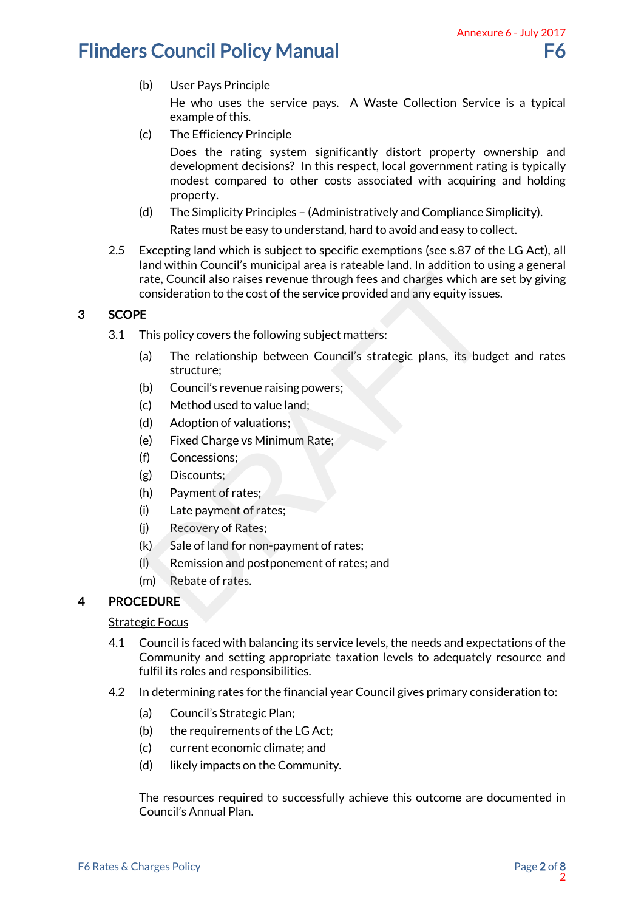- (b) User Pays Principle He who uses the service pays. A Waste Collection Service is a typical example of this.
- (c) The Efficiency Principle

Does the rating system significantly distort property ownership and development decisions? In this respect, local government rating is typically modest compared to other costs associated with acquiring and holding property. Annexure 6 - July 2017<br>
F6<br>
Service is a typical<br>
erty ownership and<br>
ent rating is typically<br>
cquiring and holding<br>
iance Simplicity).<br>
sy to collect.<br>
87 of the LG Act), all<br>
ion to using a general<br>
hich are set by givin

- (d) The Simplicity Principles (Administratively and Compliance Simplicity). Rates must be easy to understand, hard to avoid and easy to collect.
- 2.5 Excepting land which is subject to specific exemptions (see s.87 of the LG Act), all land within Council's municipal area is rateable land. In addition to using a general rate, Council also raises revenue through fees and charges which are set by giving consideration to the cost of the service provided and any equity issues.

## 3 SCOPE

- 3.1 This policy covers the following subject matters:
- (a) The relationship between Council's strategic plans, its budget and rates structure; The Council also raises revenue through fees and charges which are<br>consideration to the cost of the service provided and any equity issue<br>E<br>This policy covers the following subject matters:<br>a) The relationship between Coun
	- (b) Council's revenue raising powers;
	- (c) Method used to value land;
	- (d) Adoption of valuations;
	- (e) Fixed Charge vs Minimum Rate;
	- (f) Concessions;
	- (g) Discounts;
	- (h) Payment of rates;
	- (i) Late payment of rates;
	- (j) Recovery of Rates;
	- $(k)$  Sale of land for non-payment of rates;
	- (l) Remission and postponement of rates; and
	- (m) Rebate of rates.

## 4 PROCEDURE

### Strategic Focus

- 4.1 Council is faced with balancing its service levels, the needs and expectations of the Community and setting appropriate taxation levels to adequately resource and fulfil its roles and responsibilities.
- 4.2 In determining rates for the financial year Council gives primary consideration to:
	- (a) Council's Strategic Plan;
	- (b) the requirements of the LG Act;
	- (c) current economic climate; and
	- (d) likely impacts on the Community.

The resources required to successfully achieve this outcome are documented in Council's Annual Plan.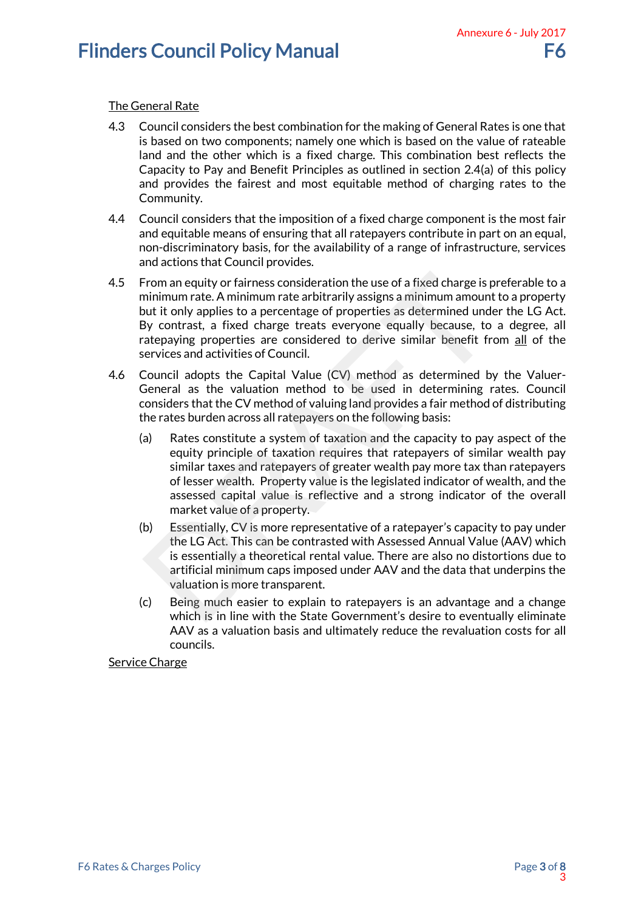## The General Rate

- 4.3 Council considers the best combination for the making of General Rates is one that is based on two components; namely one which is based on the value of rateable land and the other which is a fixed charge. This combination best reflects the Capacity to Pay and Benefit Principles as outlined in section 2.4(a) of this policy and provides the fairest and most equitable method of charging rates to the Community.
- 4.4 Council considers that the imposition of a fixed charge component is the most fair and equitable means of ensuring that all ratepayers contribute in part on an equal, non-discriminatory basis, for the availability of a range of infrastructure, services and actions that Council provides.
- 4.5 From an equity or fairness consideration the use of a fixed charge is preferable to a minimum rate. A minimum rate arbitrarily assigns a minimum amount to a property but it only applies to a percentage of properties as determined under the LG Act. By contrast, a fixed charge treats everyone equally because, to a degree, all ratepaying properties are considered to derive similar benefit from all of the services and activities of Council.
- 4.6 Council adopts the Capital Value (CV) method as determined by the Valuer-General as the valuation method to be used in determining rates. Council considers that the CV method of valuing land provides a fair method of distributing the rates burden across all ratepayers on the following basis:
- (a) Rates constitute a system of taxation and the capacity to pay aspect of the equity principle of taxation requires that ratepayers of similar wealth pay similar taxes and ratepayers of greater wealth pay more tax than ratepayers of lesser wealth. Property value is the legislated indicator of wealth, and the assessed capital value is reflective and a strong indicator of the overall market value of a property. Annexure 6 - July 20173 From an equity or fairness consideration the use of a fixed charge is pininimum rate. A minimum rate arbitrarily assigns a minimum amount<br>out it only applies to a percentage of properties as determined undof<br>3y contrast, a
	- (b) Essentially, CV is more representative of a ratepayer's capacity to pay under the LG Act. This can be contrasted with Assessed Annual Value (AAV) which is essentially a theoretical rental value. There are also no distortions due to artificial minimum caps imposed under AAV and the data that underpins the valuation is more transparent.
	- (c) Being much easier to explain to ratepayers is an advantage and a change which is in line with the State Government's desire to eventually eliminate AAV as a valuation basis and ultimately reduce the revaluation costs for all councils.

Service Charge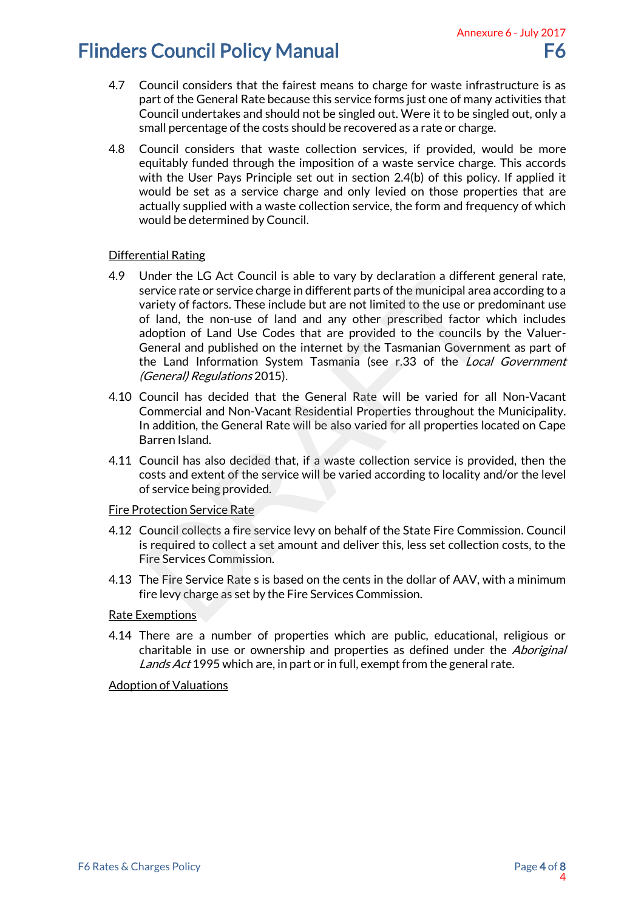- 4.7 Council considers that the fairest means to charge for waste infrastructure is as part of the General Rate because this service forms just one of many activities that Council undertakes and should not be singled out. Were it to be singled out, only a small percentage of the costs should be recovered as a rate or charge.
- 4.8 Council considers that waste collection services, if provided, would be more equitably funded through the imposition of a waste service charge. This accords with the User Pays Principle set out in section 2.4(b) of this policy. If applied it would be set as a service charge and only levied on those properties that are actually supplied with a waste collection service, the form and frequency of which would be determined by Council.

### Differential Rating

- 4.9 Under the LG Act Council is able to vary by declaration a different general rate, service rate or service charge in different parts of the municipal area according to a variety of factors. These include but are not limited to the use or predominant use of land, the non-use of land and any other prescribed factor which includes adoption of Land Use Codes that are provided to the councils by the Valuer-General and published on the internet by the Tasmanian Government as part of the Land Information System Tasmania (see r.33 of the *Local Government* (General) Regulations 2015). Annexure 6 - July 2017<br>
F6<br>
infrastructure is as<br>
f many activities that<br>
be singled out, only a<br>
charge.<br>
Hed, would be more<br>
charge. This accords<br>
is policy. If applied it<br>
it properties that are<br>
if properties that are Jnder the LG Act Council is able to vary by declaration a different<br>evervice rate or service charge in different parts of the municipal area<br>variety of factors. These include but are not limited to the use or pre<br>factor w
- 4.10 Council has decided that the General Rate will be varied for all Non-Vacant Commercial and Non-Vacant Residential Properties throughout the Municipality. In addition, the General Rate will be also varied for all properties located on Cape Barren Island.
- 4.11 Council has also decided that, if a waste collection service is provided, then the costs and extent of the service will be varied according to locality and/or the level of service being provided.

### Fire Protection Service Rate

- 4.12 Council collects a fire service levy on behalf of the State Fire Commission. Council is required to collect a set amount and deliver this, less set collection costs, to the Fire Services Commission.
- 4.13 The Fire Service Rate s is based on the cents in the dollar of AAV, with a minimum fire levy charge as set by the Fire Services Commission.

### Rate Exemptions

4.14 There are a number of properties which are public, educational, religious or charitable in use or ownership and properties as defined under the *Aboriginal* Lands Act 1995 which are, in part or in full, exempt from the general rate.

### Adoption of Valuations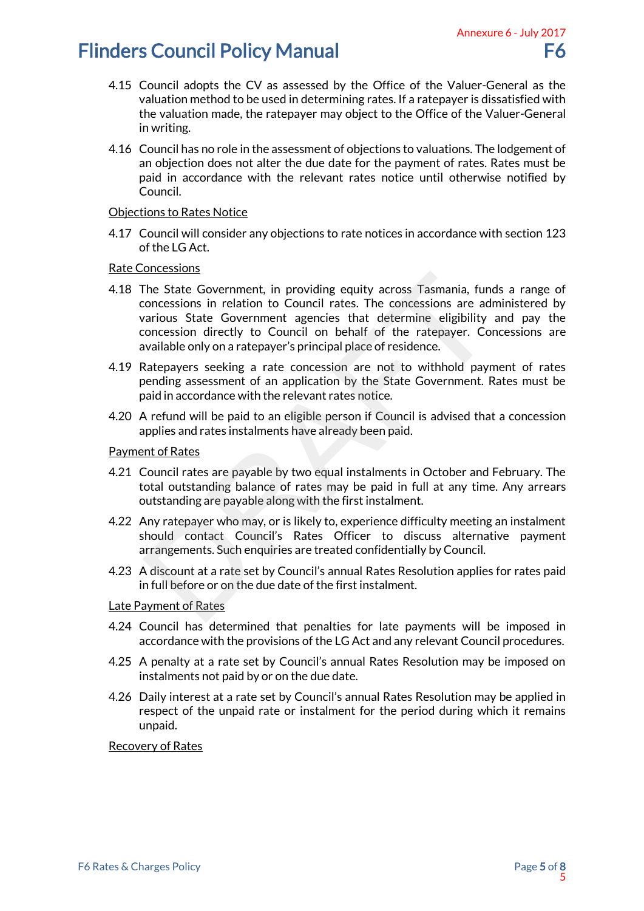- 4.15 Council adopts the CV as assessed by the Office of the Valuer-General as the valuation method to be used in determining rates. If a ratepayer is dissatisfied with the valuation made, the ratepayer may object to the Office of the Valuer-General in writing.
- 4.16 Council has no role in the assessment of objections to valuations. The lodgement of an objection does not alter the due date for the payment of rates. Rates must be paid in accordance with the relevant rates notice until otherwise notified by Council.

#### Objections to Rates Notice

4.17 Council will consider any objections to rate notices in accordance with section 123 of the LG Act.

#### Rate Concessions

- 4.18 The State Government, in providing equity across Tasmania, funds a range of concessions in relation to Council rates. The concessions are administered by various State Government agencies that determine eligibility and pay the concession directly to Council on behalf of the ratepayer. Concessions are available only on a ratepayer's principal place of residence. Annexure 6 - July 2017<br>
F6<br>
aluer-General as the<br>
er is dissatisfied with<br>
of the Valuer-General<br>
ons. The lodgement of<br>
rates. Rates must be<br>
therwise notified by<br>
therwise notified by<br>
therwise notified by<br>
the therwise STRESSIGNERY CONTITUTE STAND FOR STATIST CONDUCT THE STATE Government, in providing equity across Tasmania, funconcessions in relation to Council rates. The concessions are advarious State Government agencies that determin
- 4.19 Ratepayers seeking a rate concession are not to withhold payment of rates pending assessment of an application by the State Government. Rates must be paid in accordance with the relevant rates notice.
- 4.20 A refund will be paid to an eligible person if Council is advised that a concession applies and rates instalments have already been paid.

#### Payment of Rates

- 4.21 Council rates are payable by two equal instalments in October and February. The total outstanding balance of rates may be paid in full at any time. Any arrears outstanding are payable along with the first instalment.
- 4.22 Any ratepayer who may, or is likely to, experience difficulty meeting an instalment should contact Council's Rates Officer to discuss alternative payment arrangements. Such enquiries are treated confidentially by Council.
- 4.23 A discount at a rate set by Council's annual Rates Resolution applies for rates paid in full before or on the due date of the first instalment.

#### Late Payment of Rates

- 4.24 Council has determined that penalties for late payments will be imposed in accordance with the provisions of the LG Act and any relevant Council procedures.
- 4.25 A penalty at a rate set by Council's annual Rates Resolution may be imposed on instalments not paid by or on the due date.
- 4.26 Daily interest at a rate set by Council's annual Rates Resolution may be applied in respect of the unpaid rate or instalment for the period during which it remains unpaid.

#### Recovery of Rates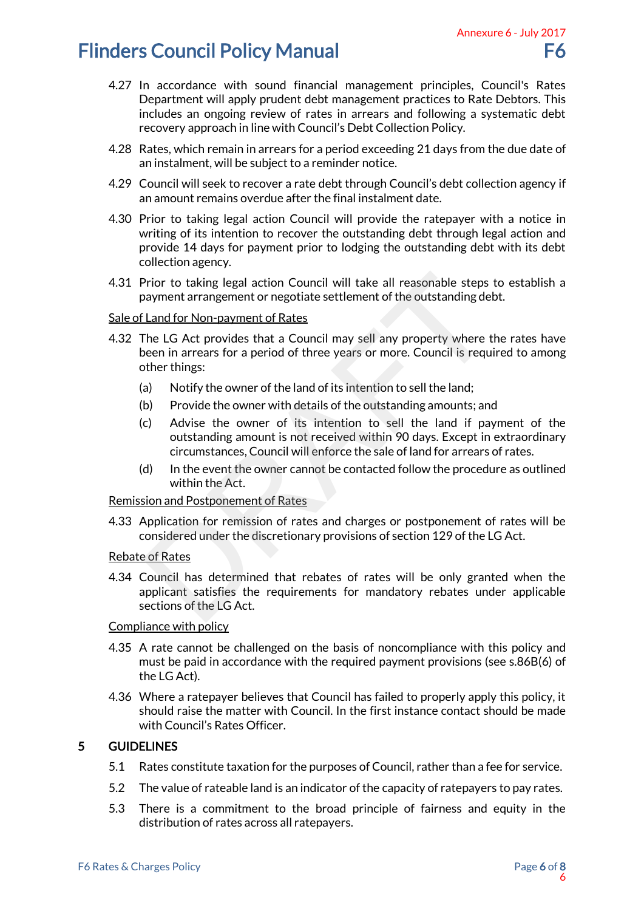- 4.27 In accordance with sound financial management principles, Council's Rates Department will apply prudent debt management practices to Rate Debtors. This includes an ongoing review of rates in arrears and following a systematic debt recovery approach in line with Council's Debt Collection Policy.
- 4.28 Rates, which remain in arrears for a period exceeding 21 days from the due date of an instalment, will be subject to a reminder notice.
- 4.29 Council will seek to recover a rate debt through Council's debt collection agency if an amount remains overdue after the final instalment date.
- 4.30 Prior to taking legal action Council will provide the ratepayer with a notice in writing of its intention to recover the outstanding debt through legal action and provide 14 days for payment prior to lodging the outstanding debt with its debt collection agency. Annexure 6 - July 2017<br>
F6<br>
les, Council's Rates<br>
co Rate Debtors. This<br>
g a systematic debt<br>
y.<br>
from the due date of<br>
ot collection agency if<br>
yer with a notice in<br>
ugh legal action and<br>
ng debt with its debt<br>
steps to e
- 4.31 Prior to taking legal action Council will take all reasonable steps to establish a payment arrangement or negotiate settlement of the outstanding debt.

### Sale of Land for Non-payment of Rates

- 4.32 The LG Act provides that a Council may sell any property where the rates have been in arrears for a period of three years or more. Council is required to among other things: Prior to taking legal action Council will take all reasonable steps<br>axyment arrangement or negotiate settlement of the outstanding del<br><u>Land for Non-payment of Rates</u><br>The LG Act provides that a Council may sell any propert
	- (a) Notify the owner of the land of its intention to sell the land;
	- (b) Provide the owner with details of the outstanding amounts; and
	- (c) Advise the owner of its intention to sell the land if payment of the outstanding amount is not received within 90 days. Except in extraordinary circumstances, Council will enforce the sale of land for arrears of rates.
	- (d) In the event the owner cannot be contacted follow the procedure as outlined within the Act.

Remission and Postponement of Rates

4.33 Application for remission of rates and charges or postponement of rates will be considered under the discretionary provisions of section 129 of the LG Act.

### Rebate of Rates

4.34 Council has determined that rebates of rates will be only granted when the applicant satisfies the requirements for mandatory rebates under applicable sections of the LG Act.

### Compliance with policy

- 4.35 A rate cannot be challenged on the basis of noncompliance with this policy and must be paid in accordance with the required payment provisions (see s.86B(6) of the LG Act).
- 4.36 Where a ratepayer believes that Council has failed to properly apply this policy, it should raise the matter with Council. In the first instance contact should be made with Council's Rates Officer.

## 5 GUIDELINES

- 5.1 Rates constitute taxation for the purposes of Council, rather than a fee for service.
- 5.2 The value of rateable land is an indicator of the capacity of ratepayers to pay rates.
- 5.3 There is a commitment to the broad principle of fairness and equity in the distribution of rates across all ratepayers.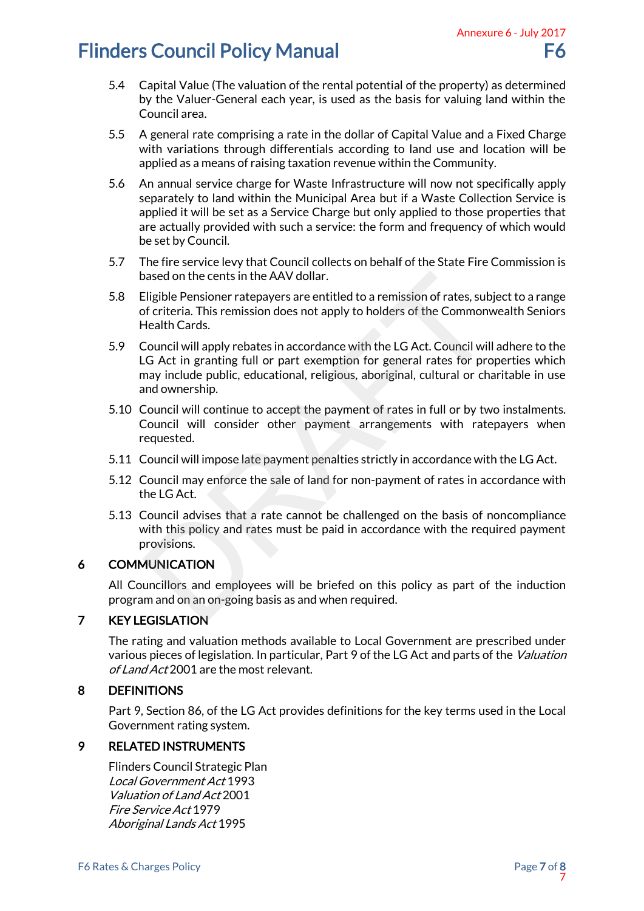- 5.4 Capital Value (The valuation of the rental potential of the property) as determined by the Valuer-General each year, is used as the basis for valuing land within the Council area.
- 5.5 A general rate comprising a rate in the dollar of Capital Value and a Fixed Charge with variations through differentials according to land use and location will be applied as a means of raising taxation revenue within the Community.
- 5.6 An annual service charge for Waste Infrastructure will now not specifically apply separately to land within the Municipal Area but if a Waste Collection Service is applied it will be set as a Service Charge but only applied to those properties that are actually provided with such a service: the form and frequency of which would be set by Council. Annexure 6 - July 2017<br>
F6<br>
perty) as determined<br>
luing land within the<br>
e and a Fixed Charge<br>
and location will be<br>
munity.<br>
not specifically apply<br>
Collection Service is<br>
those properties that<br>
lency of which would<br>
te F
- 5.7 The fire service levy that Council collects on behalf of the State Fire Commission is based on the cents in the AAV dollar.
- 5.8 Eligible Pensioner ratepayers are entitled to a remission of rates, subject to a range of criteria. This remission does not apply to holders of the Commonwealth Seniors Health Cards.
- 5.9 Council will apply rebates in accordance with the LG Act. Council will adhere to the LG Act in granting full or part exemption for general rates for properties which may include public, educational, religious, aboriginal, cultural or charitable in use and ownership. based on the cents in the AAV dollar.<br>Eligible Pensioner ratepayers are entitled to a remission of rates, subjectrica. This remission does not apply to holders of the Commonv<br>dealth Cards.<br>Council will apply rebates in acc
- 5.10 Council will continue to accept the payment of rates in full or by two instalments. Council will consider other payment arrangements with ratepayers when requested.
- 5.11 Council will impose late payment penalties strictly in accordance with the LG Act.
- 5.12 Council may enforce the sale of land for non-payment of rates in accordance with the LG Act.
- 5.13 Council advises that a rate cannot be challenged on the basis of noncompliance with this policy and rates must be paid in accordance with the required payment provisions.

## 6 COMMUNICATION

All Councillors and employees will be briefed on this policy as part of the induction program and on an on-going basis as and when required.

## 7 KEY LEGISLATION

The rating and valuation methods available to Local Government are prescribed under various pieces of legislation. In particular, Part 9 of the LG Act and parts of the *Valuation* of Land Act 2001 are the most relevant.

## 8 DEFINITIONS

Part 9, Section 86, of the LG Act provides definitions for the key terms used in the Local Government rating system.

## 9 RELATED INSTRUMENTS

Flinders Council Strategic Plan Local Government Act 1993 Valuation of Land Act 2001 Fire Service Act 1979 Aboriginal Lands Act 1995